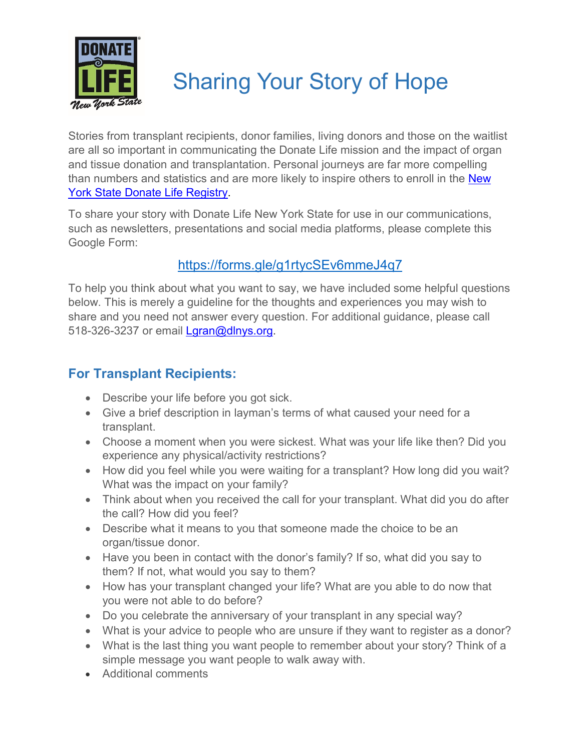

# Sharing Your Story of Hope

Stories from transplant recipients, donor families, living donors and those on the waitlist are all so important in communicating the Donate Life mission and the impact of organ and tissue donation and transplantation. Personal journeys are far more compelling than numbers and statistics and are more likely to inspire others to enroll in the New [York State Donate Life Registry.](https://donatelife.ny.gov/register/)

To share your story with Donate Life New York State for use in our communications, such as newsletters, presentations and social media platforms, please complete this Google Form:

### <https://forms.gle/g1rtycSEv6mmeJ4q7>

To help you think about what you want to say, we have included some helpful questions below. This is merely a guideline for the thoughts and experiences you may wish to share and you need not answer every question. For additional guidance, please call 518-326-3237 or email [Lgran@dlnys.org.](mailto:Lgran@dlnys.org)

### **For Transplant Recipients:**

- Describe your life before you got sick.
- Give a brief description in layman's terms of what caused your need for a transplant.
- Choose a moment when you were sickest. What was your life like then? Did you experience any physical/activity restrictions?
- How did you feel while you were waiting for a transplant? How long did you wait? What was the impact on your family?
- Think about when you received the call for your transplant. What did you do after the call? How did you feel?
- Describe what it means to you that someone made the choice to be an organ/tissue donor.
- Have you been in contact with the donor's family? If so, what did you say to them? If not, what would you say to them?
- How has your transplant changed your life? What are you able to do now that you were not able to do before?
- Do you celebrate the anniversary of your transplant in any special way?
- What is your advice to people who are unsure if they want to register as a donor?
- What is the last thing you want people to remember about your story? Think of a simple message you want people to walk away with.
- Additional comments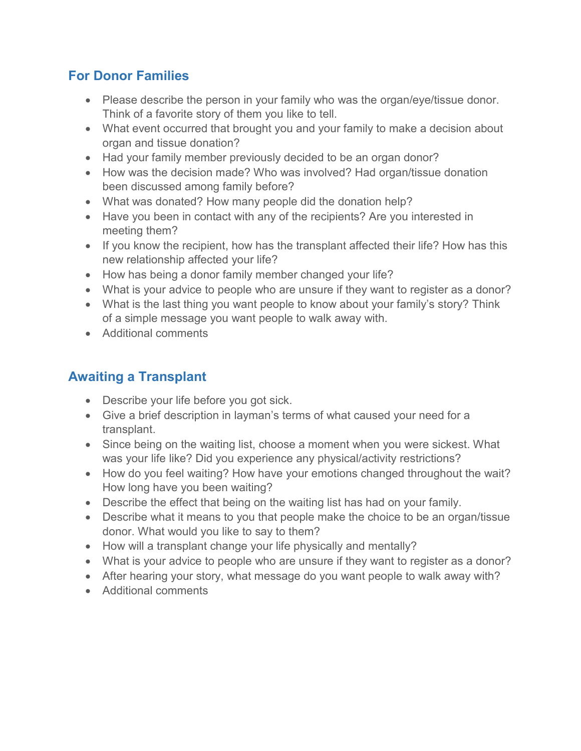### **For Donor Families**

- Please describe the person in your family who was the organ/eye/tissue donor. Think of a favorite story of them you like to tell.
- What event occurred that brought you and your family to make a decision about organ and tissue donation?
- Had your family member previously decided to be an organ donor?
- How was the decision made? Who was involved? Had organ/tissue donation been discussed among family before?
- What was donated? How many people did the donation help?
- Have you been in contact with any of the recipients? Are you interested in meeting them?
- If you know the recipient, how has the transplant affected their life? How has this new relationship affected your life?
- How has being a donor family member changed your life?
- What is your advice to people who are unsure if they want to register as a donor?
- What is the last thing you want people to know about your family's story? Think of a simple message you want people to walk away with.
- Additional comments

#### **Awaiting a Transplant**

- Describe your life before you got sick.
- Give a brief description in layman's terms of what caused your need for a transplant.
- Since being on the waiting list, choose a moment when you were sickest. What was your life like? Did you experience any physical/activity restrictions?
- How do you feel waiting? How have your emotions changed throughout the wait? How long have you been waiting?
- Describe the effect that being on the waiting list has had on your family.
- Describe what it means to you that people make the choice to be an organ/tissue donor. What would you like to say to them?
- How will a transplant change your life physically and mentally?
- What is your advice to people who are unsure if they want to register as a donor?
- After hearing your story, what message do you want people to walk away with?
- Additional comments